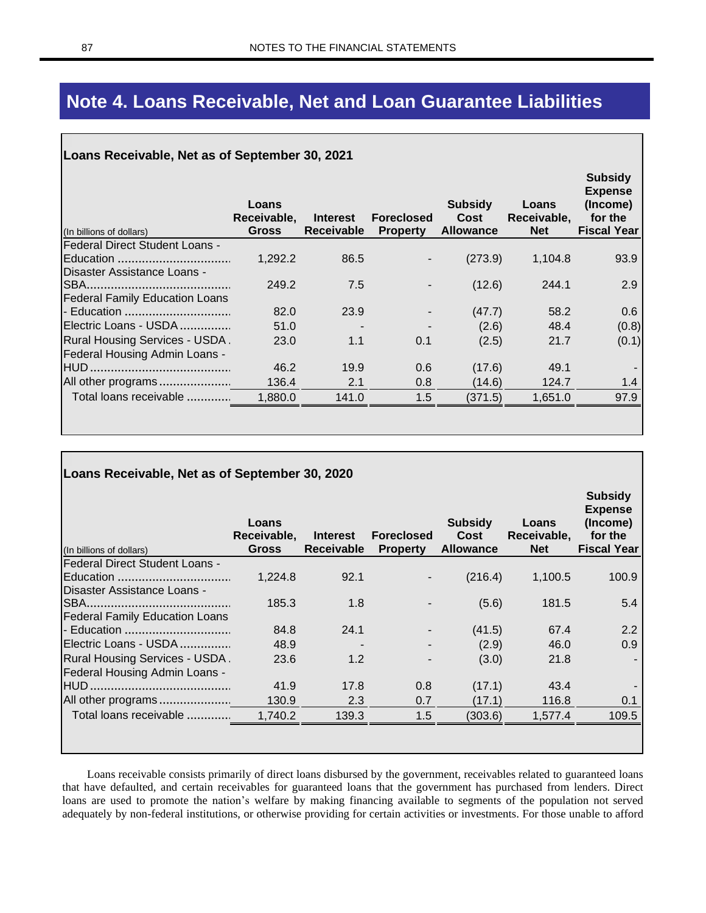## **Note 4. Loans Receivable, Net and Loan Guarantee Liabilities**

## **Loans Receivable, Net as of September 30, 2021**

|                                       | Loans<br>Receivable, | <b>Interest</b>   | <b>Foreclosed</b>        | <b>Subsidy</b><br>Cost | Loans<br>Receivable, | <b>Subsidy</b><br><b>Expense</b><br>(Income)<br>for the |
|---------------------------------------|----------------------|-------------------|--------------------------|------------------------|----------------------|---------------------------------------------------------|
| (In billions of dollars)              | <b>Gross</b>         | <b>Receivable</b> | <b>Property</b>          | <b>Allowance</b>       | <b>Net</b>           | <b>Fiscal Year</b>                                      |
| <b>Federal Direct Student Loans -</b> |                      |                   |                          |                        |                      |                                                         |
|                                       | 1,292.2              | 86.5              | $\overline{\phantom{a}}$ | (273.9)                | 1,104.8              | 93.9                                                    |
| Disaster Assistance Loans -           |                      |                   |                          |                        |                      |                                                         |
|                                       | 249.2                | 7.5               | -                        | (12.6)                 | 244.1                | 2.9                                                     |
| <b>Federal Family Education Loans</b> |                      |                   |                          |                        |                      |                                                         |
|                                       | 82.0                 | 23.9              |                          | (47.7)                 | 58.2                 | 0.6                                                     |
| Electric Loans - USDA                 | 51.0                 |                   |                          | (2.6)                  | 48.4                 | (0.8)                                                   |
| Rural Housing Services - USDA.        | 23.0                 | 1.1               | 0.1                      | (2.5)                  | 21.7                 | (0.1)                                                   |
| <b>Federal Housing Admin Loans -</b>  |                      |                   |                          |                        |                      |                                                         |
|                                       | 46.2                 | 19.9              | 0.6                      | (17.6)                 | 49.1                 |                                                         |
| All other programs                    | 136.4                | 2.1               | 0.8                      | (14.6)                 | 124.7                | 1.4                                                     |
| Total loans receivable                | 1,880.0              | 141.0             | 1.5                      | (371.5)                | 1,651.0              | 97.9                                                    |
|                                       |                      |                   |                          |                        |                      |                                                         |

| Loans Receivable, Net as of September 30, 2020 |                                      |                                      |                                      |                                            |                                    |                                                                               |  |  |
|------------------------------------------------|--------------------------------------|--------------------------------------|--------------------------------------|--------------------------------------------|------------------------------------|-------------------------------------------------------------------------------|--|--|
| (In billions of dollars)                       | Loans<br>Receivable,<br><b>Gross</b> | <b>Interest</b><br><b>Receivable</b> | <b>Foreclosed</b><br><b>Property</b> | <b>Subsidy</b><br>Cost<br><b>Allowance</b> | Loans<br>Receivable,<br><b>Net</b> | <b>Subsidy</b><br><b>Expense</b><br>(Income)<br>for the<br><b>Fiscal Year</b> |  |  |
| <b>Federal Direct Student Loans -</b>          |                                      |                                      |                                      |                                            |                                    |                                                                               |  |  |
| Education                                      | 1,224.8                              | 92.1                                 |                                      | (216.4)                                    | 1,100.5                            | 100.9                                                                         |  |  |
| Disaster Assistance Loans -                    |                                      |                                      |                                      |                                            |                                    |                                                                               |  |  |
|                                                | 185.3                                | 1.8                                  |                                      | (5.6)                                      | 181.5                              | 5.4                                                                           |  |  |
| <b>Federal Family Education Loans</b>          |                                      |                                      |                                      |                                            |                                    |                                                                               |  |  |
| - Education                                    | 84.8                                 | 24.1                                 | $\overline{\phantom{a}}$             | (41.5)                                     | 67.4                               | 2.2                                                                           |  |  |
| Electric Loans - USDA                          | 48.9                                 |                                      | $\blacksquare$                       | (2.9)                                      | 46.0                               | 0.9                                                                           |  |  |
| <b>Rural Housing Services - USDA.</b>          | 23.6                                 | 1.2                                  | $\overline{\phantom{0}}$             | (3.0)                                      | 21.8                               |                                                                               |  |  |
| <b>Federal Housing Admin Loans -</b>           |                                      |                                      |                                      |                                            |                                    |                                                                               |  |  |
|                                                | 41.9                                 | 17.8                                 | 0.8                                  | (17.1)                                     | 43.4                               |                                                                               |  |  |
| All other programs                             | 130.9                                | 2.3                                  | 0.7                                  | (17.1)                                     | 116.8                              | 0.1                                                                           |  |  |
| Total loans receivable                         | 1,740.2                              | 139.3                                | 1.5                                  | (303.6)                                    | 1,577.4                            | 109.5                                                                         |  |  |

Loans receivable consists primarily of direct loans disbursed by the government, receivables related to guaranteed loans that have defaulted, and certain receivables for guaranteed loans that the government has purchased from lenders. Direct loans are used to promote the nation's welfare by making financing available to segments of the population not served adequately by non-federal institutions, or otherwise providing for certain activities or investments. For those unable to afford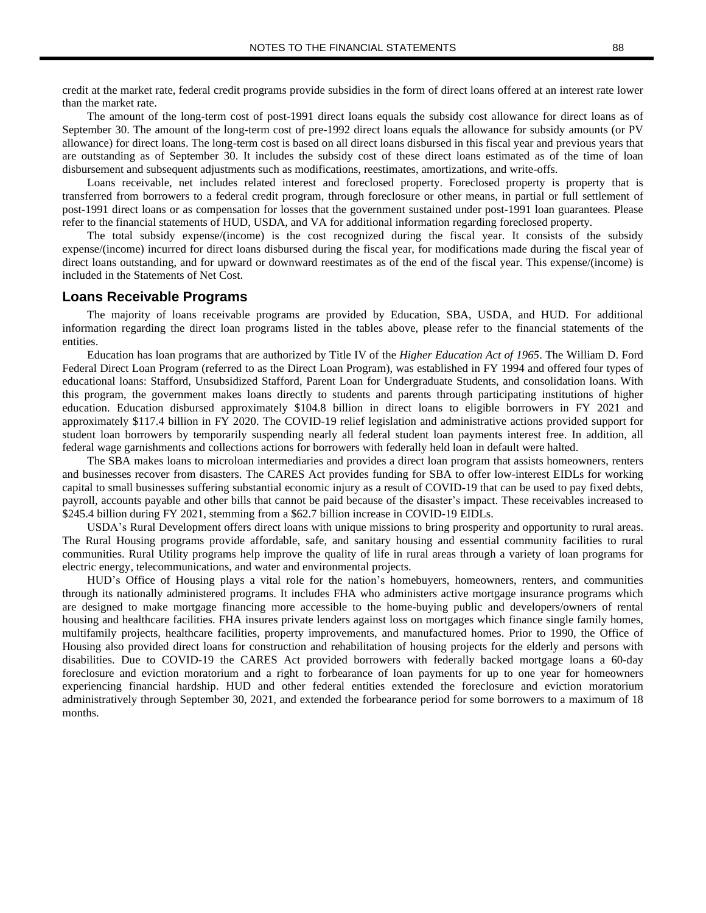credit at the market rate, federal credit programs provide subsidies in the form of direct loans offered at an interest rate lower than the market rate.

The amount of the long-term cost of post-1991 direct loans equals the subsidy cost allowance for direct loans as of September 30. The amount of the long-term cost of pre-1992 direct loans equals the allowance for subsidy amounts (or PV allowance) for direct loans. The long-term cost is based on all direct loans disbursed in this fiscal year and previous years that are outstanding as of September 30. It includes the subsidy cost of these direct loans estimated as of the time of loan disbursement and subsequent adjustments such as modifications, reestimates, amortizations, and write-offs.

Loans receivable, net includes related interest and foreclosed property. Foreclosed property is property that is transferred from borrowers to a federal credit program, through foreclosure or other means, in partial or full settlement of post-1991 direct loans or as compensation for losses that the government sustained under post-1991 loan guarantees. Please refer to the financial statements of HUD, USDA, and VA for additional information regarding foreclosed property.

The total subsidy expense/(income) is the cost recognized during the fiscal year. It consists of the subsidy expense/(income) incurred for direct loans disbursed during the fiscal year, for modifications made during the fiscal year of direct loans outstanding, and for upward or downward reestimates as of the end of the fiscal year. This expense/(income) is included in the Statements of Net Cost.

## **Loans Receivable Programs**

The majority of loans receivable programs are provided by Education, SBA, USDA, and HUD. For additional information regarding the direct loan programs listed in the tables above, please refer to the financial statements of the entities.

Education has loan programs that are authorized by Title IV of the *Higher Education Act of 1965*. The William D. Ford Federal Direct Loan Program (referred to as the Direct Loan Program), was established in FY 1994 and offered four types of educational loans: Stafford, Unsubsidized Stafford, Parent Loan for Undergraduate Students, and consolidation loans. With this program, the government makes loans directly to students and parents through participating institutions of higher education. Education disbursed approximately \$104.8 billion in direct loans to eligible borrowers in FY 2021 and approximately \$117.4 billion in FY 2020. The COVID-19 relief legislation and administrative actions provided support for student loan borrowers by temporarily suspending nearly all federal student loan payments interest free. In addition, all federal wage garnishments and collections actions for borrowers with federally held loan in default were halted.

The SBA makes loans to microloan intermediaries and provides a direct loan program that assists homeowners, renters and businesses recover from disasters. The CARES Act provides funding for SBA to offer low-interest EIDLs for working capital to small businesses suffering substantial economic injury as a result of COVID-19 that can be used to pay fixed debts, payroll, accounts payable and other bills that cannot be paid because of the disaster's impact. These receivables increased to \$245.4 billion during FY 2021, stemming from a \$62.7 billion increase in COVID-19 EIDLs.

USDA's Rural Development offers direct loans with unique missions to bring prosperity and opportunity to rural areas. The Rural Housing programs provide affordable, safe, and sanitary housing and essential community facilities to rural communities. Rural Utility programs help improve the quality of life in rural areas through a variety of loan programs for electric energy, telecommunications, and water and environmental projects.

HUD's Office of Housing plays a vital role for the nation's homebuyers, homeowners, renters, and communities through its nationally administered programs. It includes FHA who administers active mortgage insurance programs which are designed to make mortgage financing more accessible to the home-buying public and developers/owners of rental housing and healthcare facilities. FHA insures private lenders against loss on mortgages which finance single family homes, multifamily projects, healthcare facilities, property improvements, and manufactured homes. Prior to 1990, the Office of Housing also provided direct loans for construction and rehabilitation of housing projects for the elderly and persons with disabilities. Due to COVID-19 the CARES Act provided borrowers with federally backed mortgage loans a 60-day foreclosure and eviction moratorium and a right to forbearance of loan payments for up to one year for homeowners experiencing financial hardship. HUD and other federal entities extended the foreclosure and eviction moratorium administratively through September 30, 2021, and extended the forbearance period for some borrowers to a maximum of 18 months.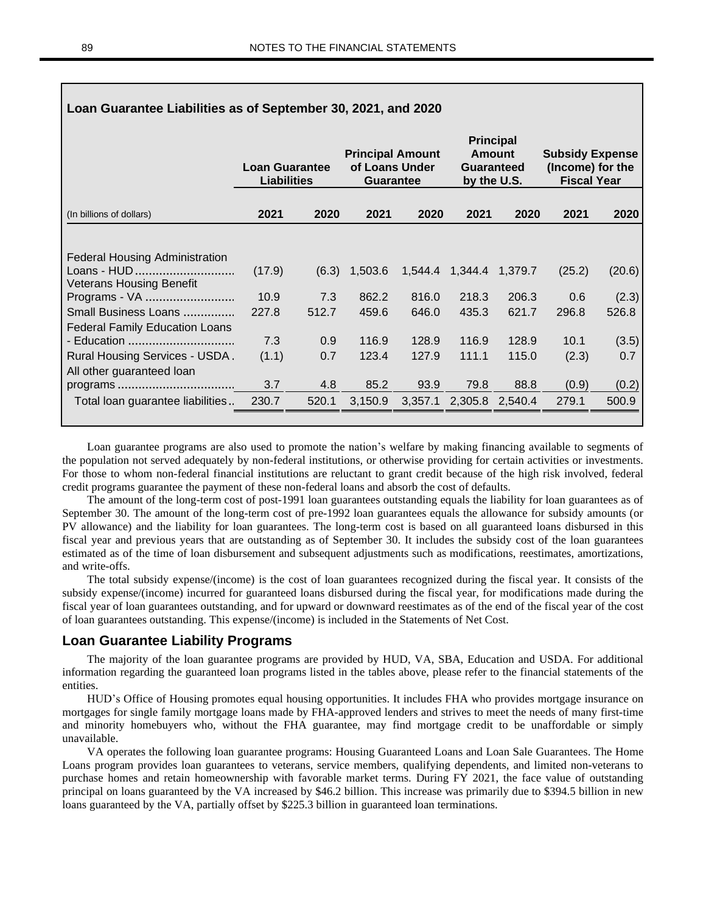| Loan Guarantee Liabilities as of September 30, 2021, and 2020 |                                             |       |                                                               |       |                                                                       |       |                                                                  |        |
|---------------------------------------------------------------|---------------------------------------------|-------|---------------------------------------------------------------|-------|-----------------------------------------------------------------------|-------|------------------------------------------------------------------|--------|
|                                                               | <b>Loan Guarantee</b><br><b>Liabilities</b> |       | <b>Principal Amount</b><br>of Loans Under<br><b>Guarantee</b> |       | <b>Principal</b><br><b>Amount</b><br><b>Guaranteed</b><br>by the U.S. |       | <b>Subsidy Expense</b><br>(Income) for the<br><b>Fiscal Year</b> |        |
| (In billions of dollars)                                      | 2021                                        | 2020  | 2021                                                          | 2020  | 2021                                                                  | 2020  | 2021                                                             | 2020   |
|                                                               |                                             |       |                                                               |       |                                                                       |       |                                                                  |        |
| <b>Federal Housing Administration</b>                         |                                             |       |                                                               |       |                                                                       |       |                                                                  |        |
| Loans - HUD<br><b>Veterans Housing Benefit</b>                | (17.9)                                      | (6.3) | 1,503.6                                                       |       | 1,544.4 1,344.4 1,379.7                                               |       | (25.2)                                                           | (20.6) |
| Programs - VA                                                 | 10.9                                        | 7.3   | 862.2                                                         | 816.0 | 218.3                                                                 | 206.3 | 0.6                                                              | (2.3)  |
| Small Business Loans<br><b>Federal Family Education Loans</b> | 227.8                                       | 512.7 | 459.6                                                         | 646.0 | 435.3                                                                 | 621.7 | 296.8                                                            | 526.8  |
| - Education                                                   | 7.3                                         | 0.9   | 116.9                                                         | 128.9 | 116.9                                                                 | 128.9 | 10.1                                                             | (3.5)  |
| Rural Housing Services - USDA.                                | (1.1)                                       | 0.7   | 123.4                                                         | 127.9 | 111.1                                                                 | 115.0 | (2.3)                                                            | 0.7    |
| All other guaranteed loan                                     |                                             |       |                                                               |       |                                                                       |       |                                                                  |        |
|                                                               | 3.7                                         | 4.8   | 85.2                                                          | 93.9  | 79.8                                                                  | 88.8  | (0.9)                                                            | (0.2)  |
| Total loan guarantee liabilities                              | 230.7                                       | 520.1 | 3,150.9                                                       |       | 3,357.1 2,305.8 2,540.4                                               |       | 279.1                                                            | 500.9  |
|                                                               |                                             |       |                                                               |       |                                                                       |       |                                                                  |        |

Loan guarantee programs are also used to promote the nation's welfare by making financing available to segments of the population not served adequately by non-federal institutions, or otherwise providing for certain activities or investments. For those to whom non-federal financial institutions are reluctant to grant credit because of the high risk involved, federal credit programs guarantee the payment of these non-federal loans and absorb the cost of defaults.

The amount of the long-term cost of post-1991 loan guarantees outstanding equals the liability for loan guarantees as of September 30. The amount of the long-term cost of pre-1992 loan guarantees equals the allowance for subsidy amounts (or PV allowance) and the liability for loan guarantees. The long-term cost is based on all guaranteed loans disbursed in this fiscal year and previous years that are outstanding as of September 30. It includes the subsidy cost of the loan guarantees estimated as of the time of loan disbursement and subsequent adjustments such as modifications, reestimates, amortizations, and write-offs.

The total subsidy expense/(income) is the cost of loan guarantees recognized during the fiscal year. It consists of the subsidy expense/(income) incurred for guaranteed loans disbursed during the fiscal year, for modifications made during the fiscal year of loan guarantees outstanding, and for upward or downward reestimates as of the end of the fiscal year of the cost of loan guarantees outstanding. This expense/(income) is included in the Statements of Net Cost.

## **Loan Guarantee Liability Programs**

The majority of the loan guarantee programs are provided by HUD, VA, SBA, Education and USDA. For additional information regarding the guaranteed loan programs listed in the tables above, please refer to the financial statements of the entities.

HUD's Office of Housing promotes equal housing opportunities. It includes FHA who provides mortgage insurance on mortgages for single family mortgage loans made by FHA-approved lenders and strives to meet the needs of many first-time and minority homebuyers who, without the FHA guarantee, may find mortgage credit to be unaffordable or simply unavailable.

VA operates the following loan guarantee programs: Housing Guaranteed Loans and Loan Sale Guarantees. The Home Loans program provides loan guarantees to veterans, service members, qualifying dependents, and limited non-veterans to purchase homes and retain homeownership with favorable market terms. During FY 2021, the face value of outstanding principal on loans guaranteed by the VA increased by \$46.2 billion. This increase was primarily due to \$394.5 billion in new loans guaranteed by the VA, partially offset by \$225.3 billion in guaranteed loan terminations.